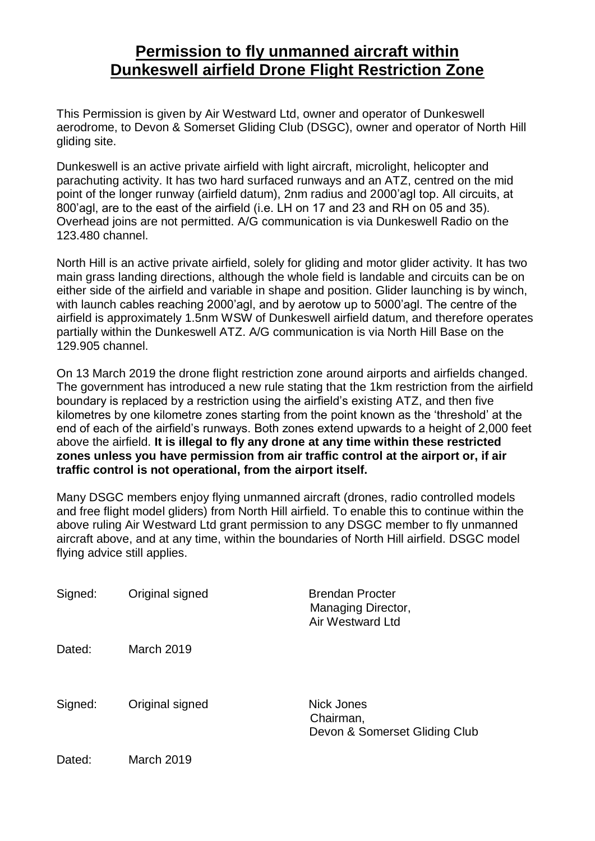## **Permission to fly unmanned aircraft within Dunkeswell airfield Drone Flight Restriction Zone**

This Permission is given by Air Westward Ltd, owner and operator of Dunkeswell aerodrome, to Devon & Somerset Gliding Club (DSGC), owner and operator of North Hill gliding site.

Dunkeswell is an active private airfield with light aircraft, microlight, helicopter and parachuting activity. It has two hard surfaced runways and an ATZ, centred on the mid point of the longer runway (airfield datum), 2nm radius and 2000'agl top. All circuits, at 800'agl, are to the east of the airfield (i.e. LH on 17 and 23 and RH on 05 and 35). Overhead joins are not permitted. A/G communication is via Dunkeswell Radio on the 123.480 channel.

North Hill is an active private airfield, solely for gliding and motor glider activity. It has two main grass landing directions, although the whole field is landable and circuits can be on either side of the airfield and variable in shape and position. Glider launching is by winch, with launch cables reaching 2000'agl, and by aerotow up to 5000'agl. The centre of the airfield is approximately 1.5nm WSW of Dunkeswell airfield datum, and therefore operates partially within the Dunkeswell ATZ. A/G communication is via North Hill Base on the 129.905 channel.

On 13 March 2019 the drone flight restriction zone around airports and airfields changed. The government has introduced a new rule stating that the 1km restriction from the airfield boundary is replaced by a restriction using the airfield's existing ATZ, and then five kilometres by one kilometre zones starting from the point known as the 'threshold' at the end of each of the airfield's runways. Both zones extend upwards to a height of 2,000 feet above the airfield. **It is illegal to fly any drone at any time within these restricted zones unless you have permission from air traffic control at the airport or, if air traffic control is not operational, from the airport itself.**

Many DSGC members enjoy flying unmanned aircraft (drones, radio controlled models and free flight model gliders) from North Hill airfield. To enable this to continue within the above ruling Air Westward Ltd grant permission to any DSGC member to fly unmanned aircraft above, and at any time, within the boundaries of North Hill airfield. DSGC model flying advice still applies.

| Signed: | Original signed   | <b>Brendan Procter</b><br>Managing Director,<br><b>Air Westward Ltd</b> |
|---------|-------------------|-------------------------------------------------------------------------|
| Dated:  | <b>March 2019</b> |                                                                         |
| Signed: | Original signed   | Nick Jones<br>Chairman,<br>Devon & Somerset Gliding Club                |
| Dated:  | March 2019        |                                                                         |